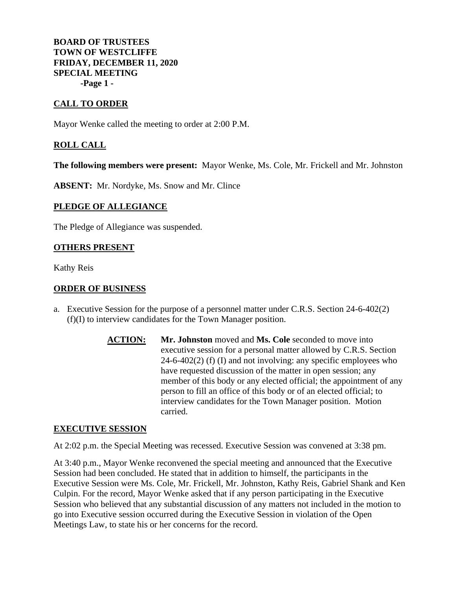**BOARD OF TRUSTEES TOWN OF WESTCLIFFE FRIDAY, DECEMBER 11, 2020 SPECIAL MEETING -Page 1 -**

# **CALL TO ORDER**

Mayor Wenke called the meeting to order at 2:00 P.M.

## **ROLL CALL**

**The following members were present:** Mayor Wenke, Ms. Cole, Mr. Frickell and Mr. Johnston

**ABSENT:** Mr. Nordyke, Ms. Snow and Mr. Clince

### **PLEDGE OF ALLEGIANCE**

The Pledge of Allegiance was suspended.

## **OTHERS PRESENT**

Kathy Reis

## **ORDER OF BUSINESS**

- a. Executive Session for the purpose of a personnel matter under C.R.S. Section 24-6-402(2) (f)(I) to interview candidates for the Town Manager position.
	- **ACTION: Mr. Johnston** moved and **Ms. Cole** seconded to move into executive session for a personal matter allowed by C.R.S. Section  $24-6-402(2)$  (f) (I) and not involving: any specific employees who have requested discussion of the matter in open session; any member of this body or any elected official; the appointment of any person to fill an office of this body or of an elected official; to interview candidates for the Town Manager position. Motion carried.

#### **EXECUTIVE SESSION**

At 2:02 p.m. the Special Meeting was recessed. Executive Session was convened at 3:38 pm.

At 3:40 p.m., Mayor Wenke reconvened the special meeting and announced that the Executive Session had been concluded. He stated that in addition to himself, the participants in the Executive Session were Ms. Cole, Mr. Frickell, Mr. Johnston, Kathy Reis, Gabriel Shank and Ken Culpin. For the record, Mayor Wenke asked that if any person participating in the Executive Session who believed that any substantial discussion of any matters not included in the motion to go into Executive session occurred during the Executive Session in violation of the Open Meetings Law, to state his or her concerns for the record.